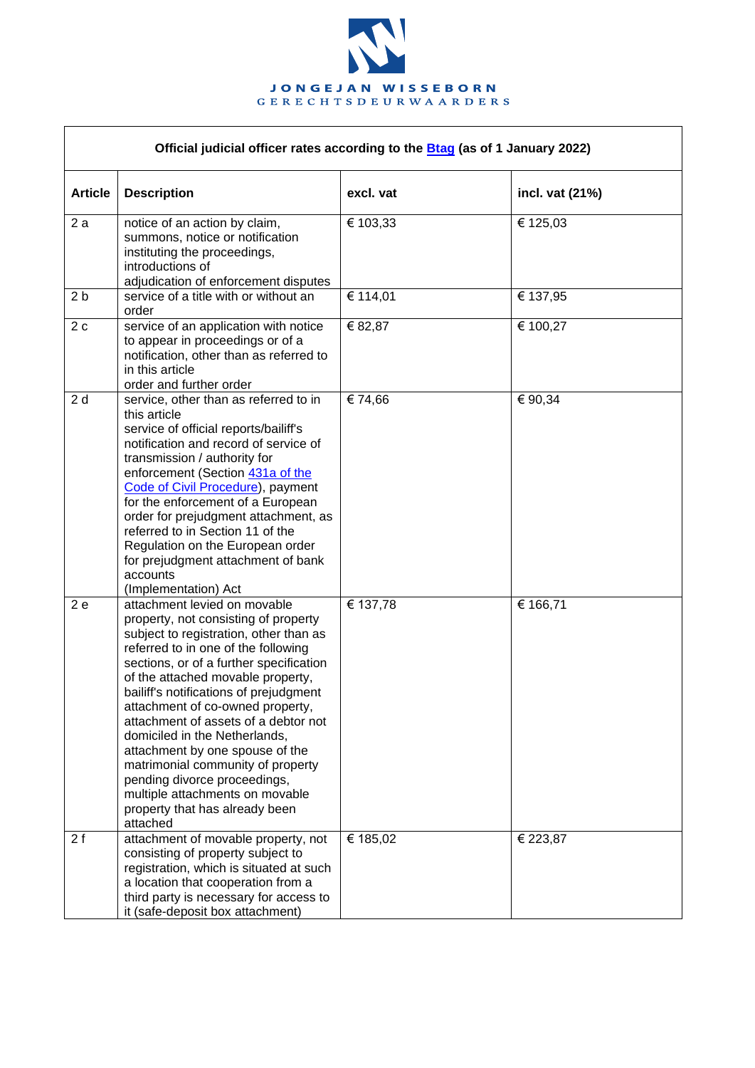

| Official judicial officer rates according to the Btag (as of 1 January 2022) |                                                                                                                                                                                                                                                                                                                                                                                                                                                                                                                                                                                       |           |                 |  |  |
|------------------------------------------------------------------------------|---------------------------------------------------------------------------------------------------------------------------------------------------------------------------------------------------------------------------------------------------------------------------------------------------------------------------------------------------------------------------------------------------------------------------------------------------------------------------------------------------------------------------------------------------------------------------------------|-----------|-----------------|--|--|
| <b>Article</b>                                                               | <b>Description</b>                                                                                                                                                                                                                                                                                                                                                                                                                                                                                                                                                                    | excl. vat | incl. vat (21%) |  |  |
| 2a                                                                           | notice of an action by claim,<br>summons, notice or notification<br>instituting the proceedings,<br>introductions of<br>adjudication of enforcement disputes                                                                                                                                                                                                                                                                                                                                                                                                                          | € 103,33  | € 125,03        |  |  |
| 2 <sub>b</sub>                                                               | service of a title with or without an<br>order                                                                                                                                                                                                                                                                                                                                                                                                                                                                                                                                        | € 114,01  | € 137,95        |  |  |
| 2c                                                                           | service of an application with notice<br>to appear in proceedings or of a<br>notification, other than as referred to<br>in this article<br>order and further order                                                                                                                                                                                                                                                                                                                                                                                                                    | € 82,87   | € 100,27        |  |  |
| 2d                                                                           | service, other than as referred to in<br>this article<br>service of official reports/bailiff's<br>notification and record of service of<br>transmission / authority for<br>enforcement (Section 431a of the<br>Code of Civil Procedure), payment<br>for the enforcement of a European<br>order for prejudgment attachment, as<br>referred to in Section 11 of the<br>Regulation on the European order<br>for prejudgment attachment of bank<br>accounts<br>(Implementation) Act                                                                                                       | € 74,66   | € 90,34         |  |  |
| 2e                                                                           | attachment levied on movable<br>property, not consisting of property<br>subject to registration, other than as<br>referred to in one of the following<br>sections, or of a further specification<br>of the attached movable property,<br>bailiff's notifications of prejudgment<br>attachment of co-owned property,<br>attachment of assets of a debtor not<br>domiciled in the Netherlands,<br>attachment by one spouse of the<br>matrimonial community of property<br>pending divorce proceedings,<br>multiple attachments on movable<br>property that has already been<br>attached | € 137,78  | € 166,71        |  |  |
| 2f                                                                           | attachment of movable property, not<br>consisting of property subject to<br>registration, which is situated at such<br>a location that cooperation from a<br>third party is necessary for access to<br>it (safe-deposit box attachment)                                                                                                                                                                                                                                                                                                                                               | € 185,02  | € 223,87        |  |  |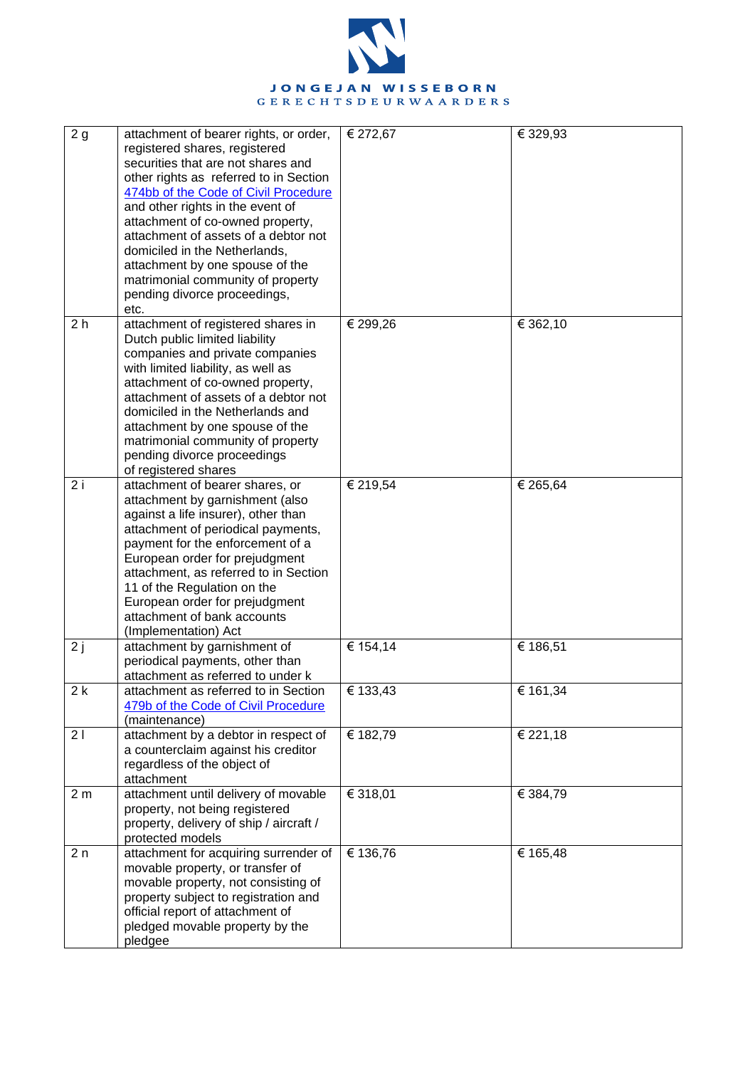

| 2g             | attachment of bearer rights, or order,<br>registered shares, registered<br>securities that are not shares and<br>other rights as referred to in Section<br>474bb of the Code of Civil Procedure<br>and other rights in the event of<br>attachment of co-owned property,<br>attachment of assets of a debtor not<br>domiciled in the Netherlands,<br>attachment by one spouse of the<br>matrimonial community of property<br>pending divorce proceedings,<br>etc. | € 272,67 | € 329,93              |
|----------------|------------------------------------------------------------------------------------------------------------------------------------------------------------------------------------------------------------------------------------------------------------------------------------------------------------------------------------------------------------------------------------------------------------------------------------------------------------------|----------|-----------------------|
| 2 <sub>h</sub> | attachment of registered shares in<br>Dutch public limited liability<br>companies and private companies<br>with limited liability, as well as<br>attachment of co-owned property,<br>attachment of assets of a debtor not<br>domiciled in the Netherlands and<br>attachment by one spouse of the<br>matrimonial community of property<br>pending divorce proceedings<br>of registered shares                                                                     | € 299,26 | € 362,10              |
| 2i             | attachment of bearer shares, or<br>attachment by garnishment (also<br>against a life insurer), other than<br>attachment of periodical payments,<br>payment for the enforcement of a<br>European order for prejudgment<br>attachment, as referred to in Section<br>11 of the Regulation on the<br>European order for prejudgment<br>attachment of bank accounts<br>(Implementation) Act                                                                           | € 219,54 | € 265,64              |
| 2j             | attachment by garnishment of<br>periodical payments, other than<br>attachment as referred to under k                                                                                                                                                                                                                                                                                                                                                             | € 154,14 | € 186,51              |
| 2k             | attachment as referred to in Section<br>479b of the Code of Civil Procedure<br>(maintenance)                                                                                                                                                                                                                                                                                                                                                                     | € 133,43 | $\overline{€}$ 161,34 |
| 21             | attachment by a debtor in respect of<br>a counterclaim against his creditor<br>regardless of the object of<br>attachment                                                                                                                                                                                                                                                                                                                                         | € 182,79 | € 221,18              |
| 2 <sub>m</sub> | attachment until delivery of movable<br>property, not being registered<br>property, delivery of ship / aircraft /<br>protected models                                                                                                                                                                                                                                                                                                                            | € 318,01 | € 384,79              |
| 2n             | attachment for acquiring surrender of<br>movable property, or transfer of<br>movable property, not consisting of<br>property subject to registration and<br>official report of attachment of<br>pledged movable property by the<br>pledgee                                                                                                                                                                                                                       | € 136,76 | € 165,48              |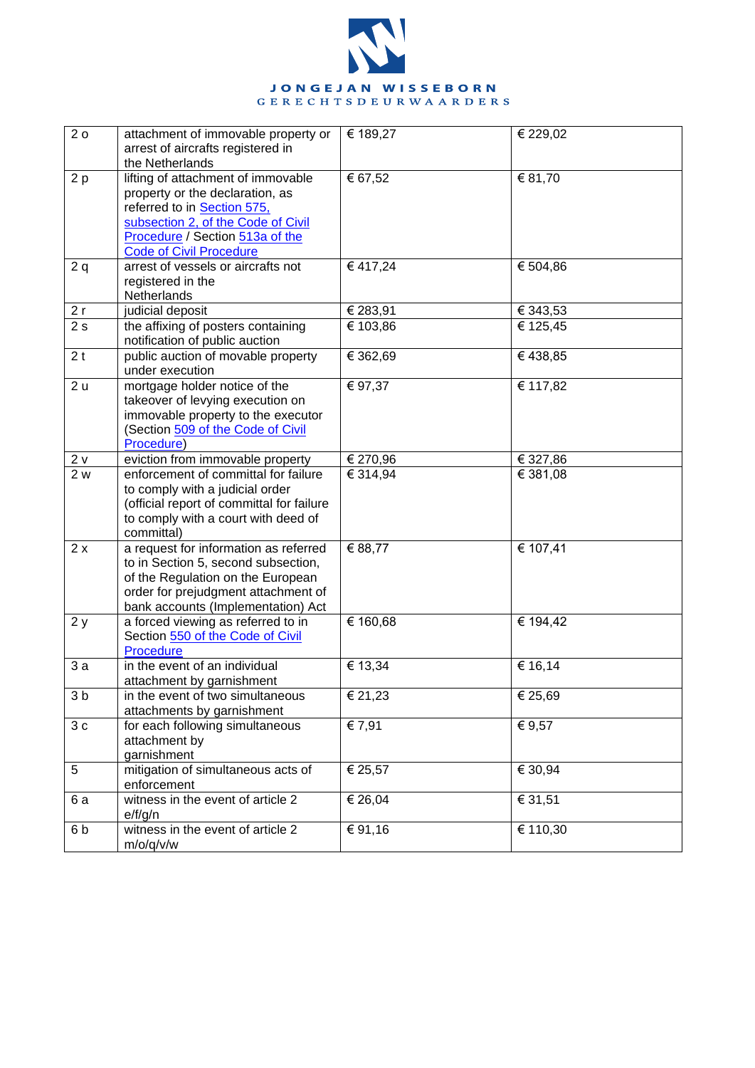

| 20             | attachment of immovable property or<br>arrest of aircrafts registered in<br>the Netherlands                                                                                                                     | € 189,27          | € 229,02 |
|----------------|-----------------------------------------------------------------------------------------------------------------------------------------------------------------------------------------------------------------|-------------------|----------|
| 2p             | lifting of attachment of immovable<br>property or the declaration, as<br>referred to in Section 575,<br>subsection 2, of the Code of Civil<br>Procedure / Section 513a of the<br><b>Code of Civil Procedure</b> | € 67,52           | € 81,70  |
| 2q             | arrest of vessels or aircrafts not<br>registered in the<br>Netherlands                                                                                                                                          | € 417,24          | € 504,86 |
| 2r             | judicial deposit                                                                                                                                                                                                | € 283,91          | € 343,53 |
| 2s             | the affixing of posters containing<br>notification of public auction                                                                                                                                            | € 103,86          | € 125,45 |
| 2 <sub>t</sub> | public auction of movable property<br>under execution                                                                                                                                                           | € 362,69          | €438,85  |
| 2u             | mortgage holder notice of the<br>takeover of levying execution on<br>immovable property to the executor<br>(Section 509 of the Code of Civil<br>Procedure)                                                      | € 97,37           | € 117,82 |
| 2v             | eviction from immovable property                                                                                                                                                                                | € 270,96          | € 327,86 |
| 2 w            | enforcement of committal for failure<br>to comply with a judicial order<br>(official report of committal for failure<br>to comply with a court with deed of<br>committal)                                       | $\sqrt{€}$ 314,94 | € 381,08 |
| 2x             | a request for information as referred<br>to in Section 5, second subsection,<br>of the Regulation on the European<br>order for prejudgment attachment of<br>bank accounts (Implementation) Act                  | € 88,77           | € 107,41 |
| 2y             | a forced viewing as referred to in<br>Section 550 of the Code of Civil<br>Procedure                                                                                                                             | € 160,68          | € 194,42 |
| 3a             | in the event of an individual<br>attachment by garnishment                                                                                                                                                      | € 13,34           | € 16,14  |
| 3 <sub>b</sub> | in the event of two simultaneous<br>attachments by garnishment                                                                                                                                                  | € 21,23           | € 25,69  |
| $3\,c$         | for each following simultaneous<br>attachment by<br>garnishment                                                                                                                                                 | € 7,91            | € 9,57   |
| 5              | mitigation of simultaneous acts of<br>enforcement                                                                                                                                                               | € 25,57           | € 30,94  |
| 6a             | witness in the event of article 2<br>e/f/g/n                                                                                                                                                                    | € 26,04           | € 31,51  |
| 6b             | witness in the event of article 2<br>m/o/q/v/w                                                                                                                                                                  | € 91,16           | € 110,30 |